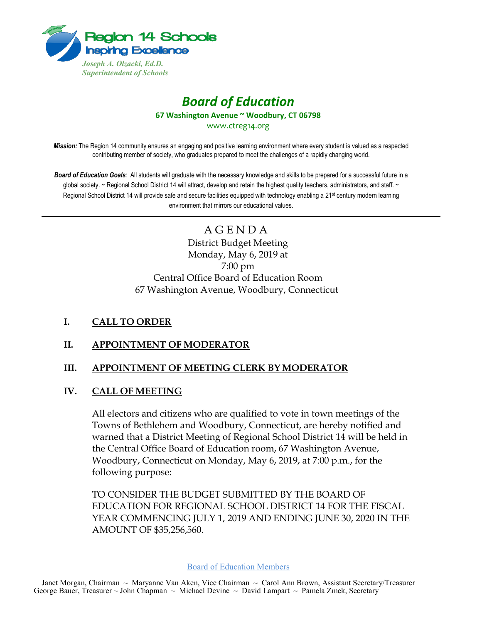

# *Board of Education* **67 Washington Avenue ~ Woodbury, CT 06798**

www.ctreg14.org

*Mission:* The Region 14 community ensures an engaging and positive learning environment where every student is valued as a respected contributing member of society, who graduates prepared to meet the challenges of a rapidly changing world.

*Board of Education Goals:* All students will graduate with the necessary knowledge and skills to be prepared for a successful future in a global society. ~ Regional School District 14 will attract, develop and retain the highest quality teachers, administrators, and staff. ~ Regional School District 14 will provide safe and secure facilities equipped with technology enabling a 21<sup>st</sup> century modern learning environment that mirrors our educational values.

> A G E N D A District Budget Meeting Monday, May 6, 2019 at 7:00 pm Central Office Board of Education Room 67 Washington Avenue, Woodbury, Connecticut

#### **I. CALL TO ORDER**

#### **II. APPOINTMENT OF MODERATOR**

# **III. APPOINTMENT OF MEETING CLERK BY MODERATOR**

#### **IV. CALL OF MEETING**

All electors and citizens who are qualified to vote in town meetings of the Towns of Bethlehem and Woodbury, Connecticut, are hereby notified and warned that a District Meeting of Regional School District 14 will be held in the Central Office Board of Education room, 67 Washington Avenue, Woodbury, Connecticut on Monday, May 6, 2019, at 7:00 p.m., for the following purpose:

TO CONSIDER THE BUDGET SUBMITTED BY THE BOARD OF EDUCATION FOR REGIONAL SCHOOL DISTRICT 14 FOR THE FISCAL YEAR COMMENCING JULY 1, 2019 AND ENDING JUNE 30, 2020 IN THE AMOUNT OF \$35,256,560.

Board of Education Members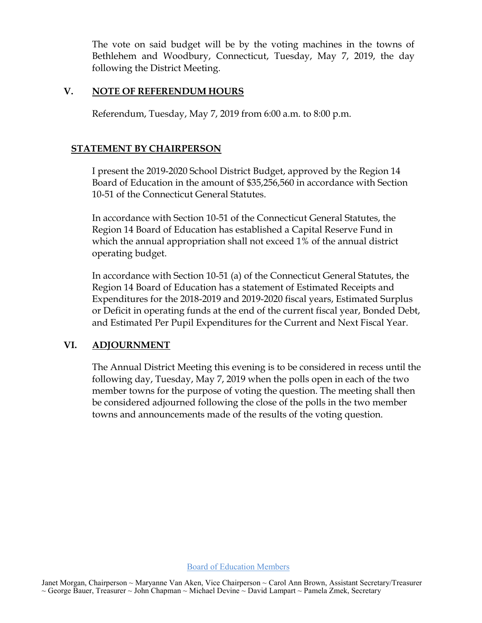The vote on said budget will be by the voting machines in the towns of Bethlehem and Woodbury, Connecticut, Tuesday, May 7, 2019, the day following the District Meeting.

### **V. NOTE OF REFERENDUM HOURS**

Referendum, Tuesday, May 7, 2019 from 6:00 a.m. to 8:00 p.m.

## **STATEMENT BY CHAIRPERSON**

I present the 2019-2020 School District Budget, approved by the Region 14 Board of Education in the amount of \$35,256,560 in accordance with Section 10-51 of the Connecticut General Statutes.

In accordance with Section 10-51 of the Connecticut General Statutes, the Region 14 Board of Education has established a Capital Reserve Fund in which the annual appropriation shall not exceed 1% of the annual district operating budget.

In accordance with Section 10-51 (a) of the Connecticut General Statutes, the Region 14 Board of Education has a statement of Estimated Receipts and Expenditures for the 2018-2019 and 2019-2020 fiscal years, Estimated Surplus or Deficit in operating funds at the end of the current fiscal year, Bonded Debt, and Estimated Per Pupil Expenditures for the Current and Next Fiscal Year.

#### **VI. ADJOURNMENT**

The Annual District Meeting this evening is to be considered in recess until the following day, Tuesday, May 7, 2019 when the polls open in each of the two member towns for the purpose of voting the question. The meeting shall then be considered adjourned following the close of the polls in the two member towns and announcements made of the results of the voting question.